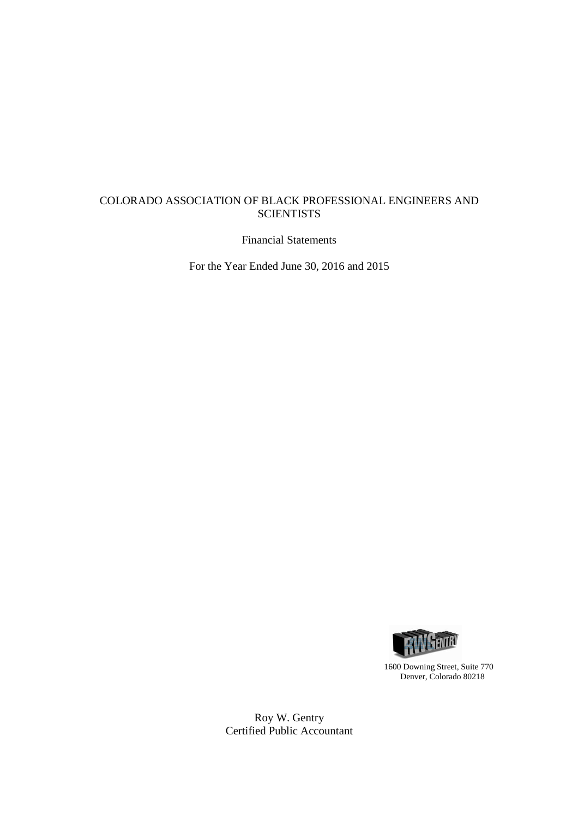# COLORADO ASSOCIATION OF BLACK PROFESSIONAL ENGINEERS AND **SCIENTISTS**

Financial Statements

For the Year Ended June 30, 2016 and 2015



1600 Downing Street, Suite 770 Denver, Colorado 80218

Roy W. Gentry Certified Public Accountant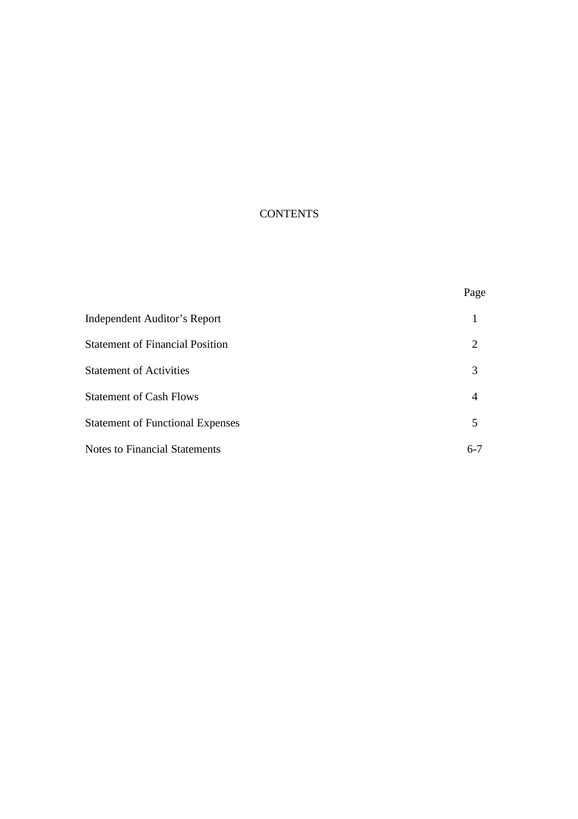# **CONTENTS**

|                                         | Page    |
|-----------------------------------------|---------|
| Independent Auditor's Report            |         |
| <b>Statement of Financial Position</b>  | 2       |
| <b>Statement of Activities</b>          | 3       |
| <b>Statement of Cash Flows</b>          | 4       |
| <b>Statement of Functional Expenses</b> | 5       |
| <b>Notes to Financial Statements</b>    | $6 - 7$ |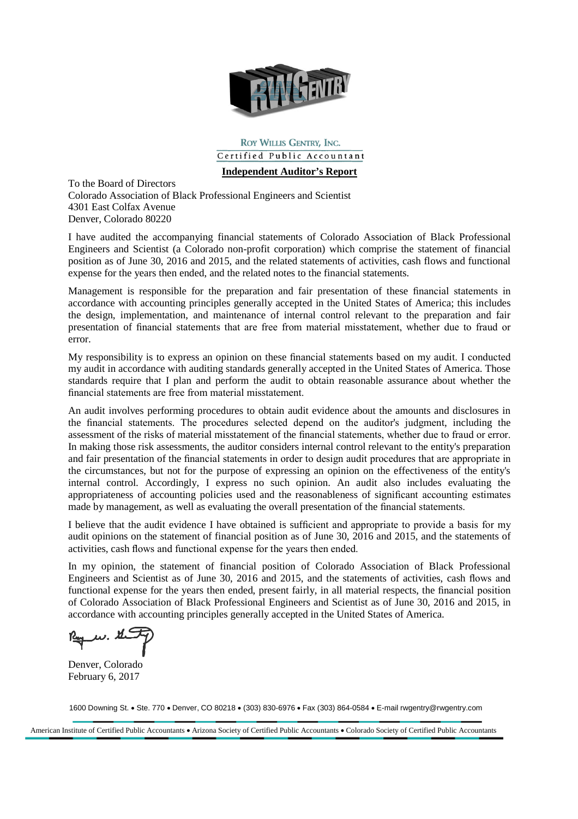

ROY WILLIS GENTRY, INC. Certified Public Accountant

**Independent Auditor's Report**

To the Board of Directors Colorado Association of Black Professional Engineers and Scientist 4301 East Colfax Avenue Denver, Colorado 80220

I have audited the accompanying financial statements of Colorado Association of Black Professional Engineers and Scientist (a Colorado non-profit corporation) which comprise the statement of financial position as of June 30, 2016 and 2015, and the related statements of activities, cash flows and functional expense for the years then ended, and the related notes to the financial statements.

Management is responsible for the preparation and fair presentation of these financial statements in accordance with accounting principles generally accepted in the United States of America; this includes the design, implementation, and maintenance of internal control relevant to the preparation and fair presentation of financial statements that are free from material misstatement, whether due to fraud or error.

My responsibility is to express an opinion on these financial statements based on my audit. I conducted my audit in accordance with auditing standards generally accepted in the United States of America. Those standards require that I plan and perform the audit to obtain reasonable assurance about whether the financial statements are free from material misstatement.

An audit involves performing procedures to obtain audit evidence about the amounts and disclosures in the financial statements. The procedures selected depend on the auditor's judgment, including the assessment of the risks of material misstatement of the financial statements, whether due to fraud or error. In making those risk assessments, the auditor considers internal control relevant to the entity's preparation and fair presentation of the financial statements in order to design audit procedures that are appropriate in the circumstances, but not for the purpose of expressing an opinion on the effectiveness of the entity's internal control. Accordingly, I express no such opinion. An audit also includes evaluating the appropriateness of accounting policies used and the reasonableness of significant accounting estimates made by management, as well as evaluating the overall presentation of the financial statements.

I believe that the audit evidence I have obtained is sufficient and appropriate to provide a basis for my audit opinions on the statement of financial position as of June 30, 2016 and 2015, and the statements of activities, cash flows and functional expense for the years then ended.

In my opinion, the statement of financial position of Colorado Association of Black Professional Engineers and Scientist as of June 30, 2016 and 2015, and the statements of activities, cash flows and functional expense for the years then ended, present fairly, in all material respects, the financial position of Colorado Association of Black Professional Engineers and Scientist as of June 30, 2016 and 2015, in accordance with accounting principles generally accepted in the United States of America.

Denver, Colorado February 6, 2017

1600 Downing St. Ste. 770 Denver, CO 80218 (303) 830-6976 Fax (303) 864-0584 E-mail rwgentry@rwgentry.com

American Institute of Certified Public Accountants • Arizona Society of Certified Public Accountants • Colorado Society of Certified Public Accountants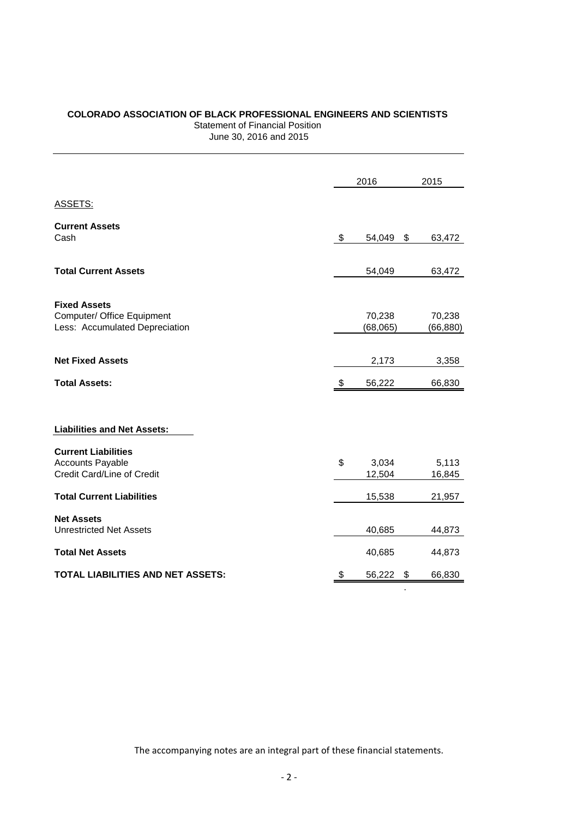# **COLORADO ASSOCIATION OF BLACK PROFESSIONAL ENGINEERS AND SCIENTISTS** Statement of Financial Position

June 30, 2016 and 2015

|                                                              | 2016               | 2015                |
|--------------------------------------------------------------|--------------------|---------------------|
| ASSETS:                                                      |                    |                     |
| <b>Current Assets</b><br>Cash                                | \$<br>54,049       | \$<br>63,472        |
|                                                              |                    |                     |
| <b>Total Current Assets</b>                                  | 54,049             | 63,472              |
| <b>Fixed Assets</b>                                          |                    |                     |
| Computer/ Office Equipment<br>Less: Accumulated Depreciation | 70,238<br>(68,065) | 70,238<br>(66, 880) |
|                                                              |                    |                     |
| <b>Net Fixed Assets</b>                                      | 2,173              | 3,358               |
| <b>Total Assets:</b>                                         | \$<br>56,222       | 66,830              |
|                                                              |                    |                     |
| <b>Liabilities and Net Assets:</b>                           |                    |                     |
| <b>Current Liabilities</b>                                   |                    |                     |
| <b>Accounts Payable</b>                                      | \$<br>3,034        | 5,113               |
| Credit Card/Line of Credit                                   | 12,504             | 16,845              |
| <b>Total Current Liabilities</b>                             | 15,538             | 21,957              |
| <b>Net Assets</b>                                            |                    |                     |
| <b>Unrestricted Net Assets</b>                               | 40,685             | 44,873              |
| <b>Total Net Assets</b>                                      | 40,685             | 44,873              |
| TOTAL LIABILITIES AND NET ASSETS:                            | \$<br>56,222       | \$<br>66,830        |
|                                                              |                    |                     |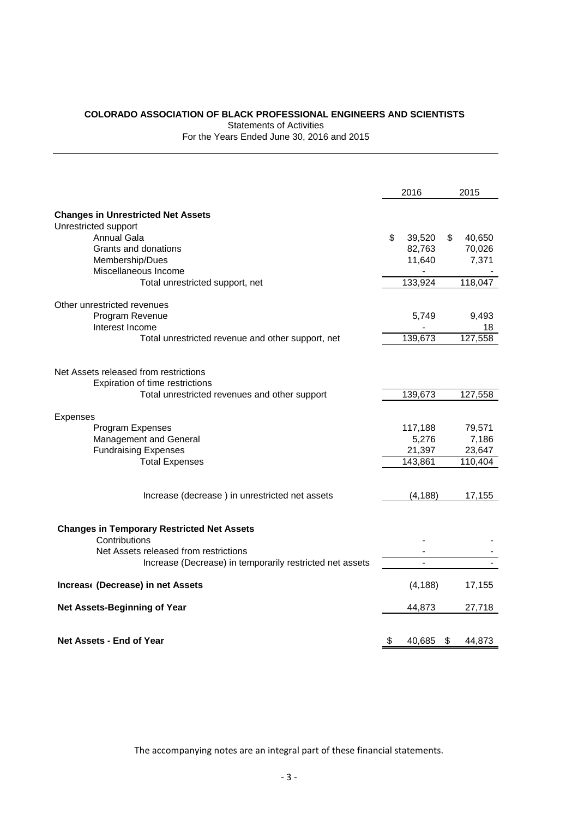# **COLORADO ASSOCIATION OF BLACK PROFESSIONAL ENGINEERS AND SCIENTISTS**

Statements of Activities

For the Years Ended June 30, 2016 and 2015

|                                                          |    | 2016     | 2015         |
|----------------------------------------------------------|----|----------|--------------|
| <b>Changes in Unrestricted Net Assets</b>                |    |          |              |
| Unrestricted support                                     |    |          |              |
| <b>Annual Gala</b>                                       | \$ | 39,520   | \$<br>40,650 |
| Grants and donations                                     |    | 82,763   | 70,026       |
| Membership/Dues                                          |    | 11,640   | 7,371        |
| Miscellaneous Income                                     |    |          |              |
| Total unrestricted support, net                          |    | 133,924  | 118,047      |
| Other unrestricted revenues                              |    |          |              |
| Program Revenue                                          |    | 5,749    | 9,493        |
| Interest Income                                          |    |          | 18           |
| Total unrestricted revenue and other support, net        |    | 139,673  | 127,558      |
|                                                          |    |          |              |
| Net Assets released from restrictions                    |    |          |              |
| Expiration of time restrictions                          |    |          |              |
| Total unrestricted revenues and other support            |    | 139,673  | 127,558      |
| Expenses                                                 |    |          |              |
| Program Expenses                                         |    | 117,188  | 79,571       |
| Management and General                                   |    | 5,276    | 7,186        |
| <b>Fundraising Expenses</b>                              |    | 21,397   | 23,647       |
| <b>Total Expenses</b>                                    |    | 143,861  | 110,404      |
| Increase (decrease) in unrestricted net assets           |    | (4, 188) | 17,155       |
|                                                          |    |          |              |
| <b>Changes in Temporary Restricted Net Assets</b>        |    |          |              |
| Contributions                                            |    |          |              |
| Net Assets released from restrictions                    |    |          |              |
| Increase (Decrease) in temporarily restricted net assets |    |          |              |
| Increas (Decrease) in net Assets                         |    | (4, 188) | 17,155       |
| Net Assets-Beginning of Year                             |    | 44,873   | 27,718       |
|                                                          |    |          |              |
| <b>Net Assets - End of Year</b>                          | \$ | 40,685   | \$<br>44,873 |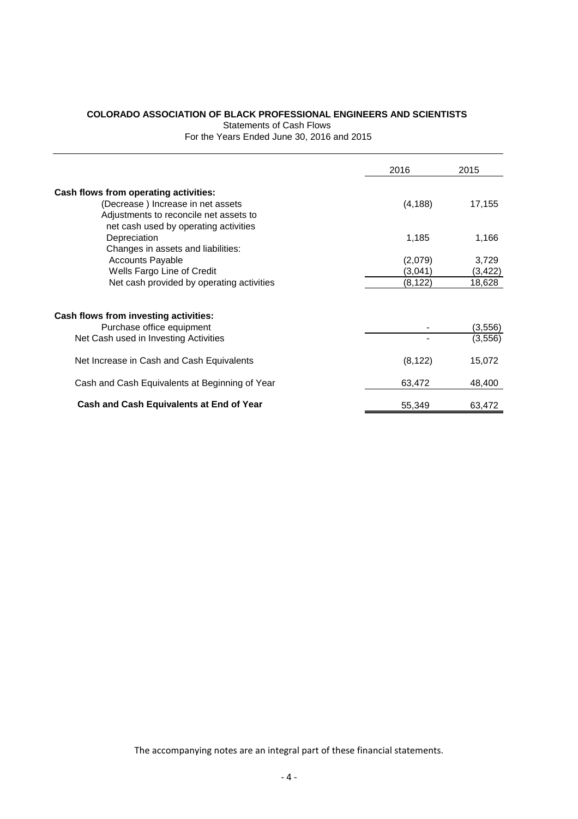# **COLORADO ASSOCIATION OF BLACK PROFESSIONAL ENGINEERS AND SCIENTISTS**

Statements of Cash Flows

For the Years Ended June 30, 2016 and 2015

|                                                | 2016     | 2015     |
|------------------------------------------------|----------|----------|
| Cash flows from operating activities:          |          |          |
| (Decrease) Increase in net assets              | (4, 188) | 17,155   |
| Adjustments to reconcile net assets to         |          |          |
| net cash used by operating activities          |          |          |
| Depreciation                                   | 1,185    | 1,166    |
| Changes in assets and liabilities:             |          |          |
| <b>Accounts Payable</b>                        | (2,079)  | 3,729    |
| Wells Fargo Line of Credit                     | (3.041)  | (3, 422) |
| Net cash provided by operating activities      | (8, 122) | 18,628   |
|                                                |          |          |
| Cash flows from investing activities:          |          |          |
| Purchase office equipment                      |          | (3, 556) |
| Net Cash used in Investing Activities          |          | (3, 556) |
| Net Increase in Cash and Cash Equivalents      | (8, 122) | 15,072   |
| Cash and Cash Equivalents at Beginning of Year | 63,472   | 48,400   |
| Cash and Cash Equivalents at End of Year       | 55,349   | 63,472   |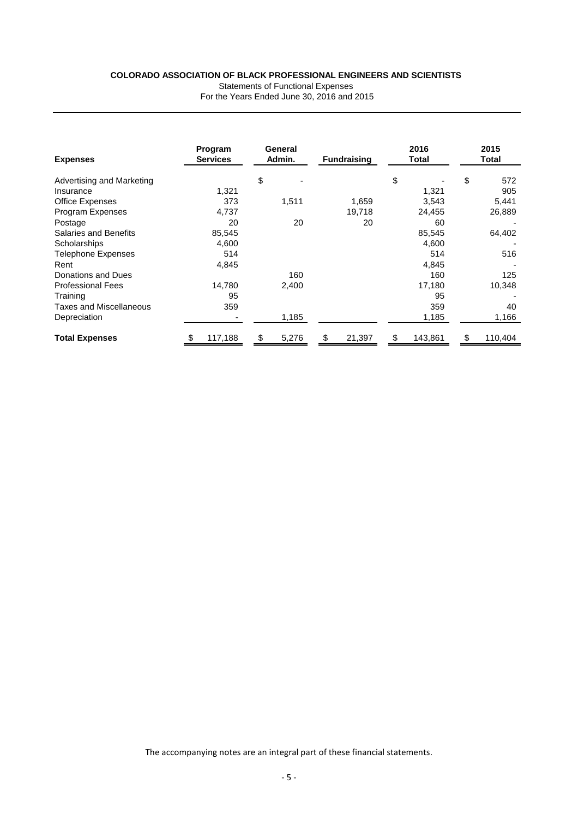#### **COLORADO ASSOCIATION OF BLACK PROFESSIONAL ENGINEERS AND SCIENTISTS**

Statements of Functional Expenses

| For the Years Ended June 30, 2016 and 2015 |  |
|--------------------------------------------|--|
|--------------------------------------------|--|

| <b>Expenses</b>           |   | Program<br><b>Services</b> | General<br>Admin. | <b>Fundraising</b> | 2016<br>Total | 2015<br>Total |
|---------------------------|---|----------------------------|-------------------|--------------------|---------------|---------------|
| Advertising and Marketing |   |                            | \$                |                    | \$            | \$<br>572     |
| Insurance                 |   | 1,321                      |                   |                    | 1,321         | 905           |
| Office Expenses           |   | 373                        | 1,511             | 1,659              | 3,543         | 5,441         |
| <b>Program Expenses</b>   |   | 4,737                      |                   | 19,718             | 24,455        | 26,889        |
| Postage                   |   | 20                         | 20                | 20                 | 60            |               |
| Salaries and Benefits     |   | 85,545                     |                   |                    | 85,545        | 64,402        |
| Scholarships              |   | 4,600                      |                   |                    | 4,600         |               |
| <b>Telephone Expenses</b> |   | 514                        |                   |                    | 514           | 516           |
| Rent                      |   | 4,845                      |                   |                    | 4,845         |               |
| Donations and Dues        |   |                            | 160               |                    | 160           | 125           |
| <b>Professional Fees</b>  |   | 14,780                     | 2,400             |                    | 17,180        | 10,348        |
| Training                  |   | 95                         |                   |                    | 95            |               |
| Taxes and Miscellaneous   |   | 359                        |                   |                    | 359           | 40            |
| Depreciation              |   |                            | 1,185             |                    | 1,185         | 1,166         |
| <b>Total Expenses</b>     | S | 117,188                    | \$<br>5,276       | \$<br>21,397       | \$<br>143,861 | \$<br>110,404 |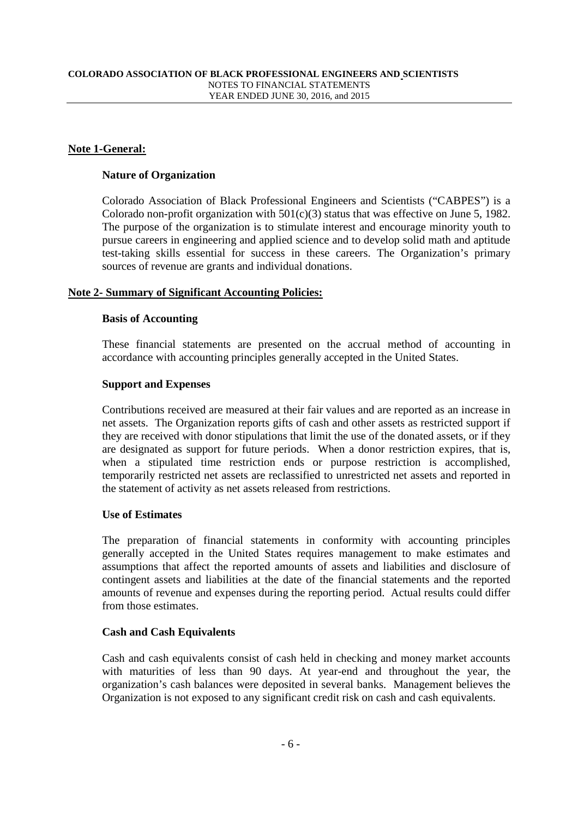### **Note 1-General:**

#### **Nature of Organization**

Colorado Association of Black Professional Engineers and Scientists ("CABPES") is a Colorado non-profit organization with  $501(c)(3)$  status that was effective on June 5, 1982. The purpose of the organization is to stimulate interest and encourage minority youth to pursue careers in engineering and applied science and to develop solid math and aptitude test-taking skills essential for success in these careers. The Organization's primary sources of revenue are grants and individual donations.

#### **Note 2- Summary of Significant Accounting Policies:**

#### **Basis of Accounting**

These financial statements are presented on the accrual method of accounting in accordance with accounting principles generally accepted in the United States.

#### **Support and Expenses**

Contributions received are measured at their fair values and are reported as an increase in net assets. The Organization reports gifts of cash and other assets as restricted support if they are received with donor stipulations that limit the use of the donated assets, or if they are designated as support for future periods. When a donor restriction expires, that is, when a stipulated time restriction ends or purpose restriction is accomplished, temporarily restricted net assets are reclassified to unrestricted net assets and reported in the statement of activity as net assets released from restrictions.

#### **Use of Estimates**

The preparation of financial statements in conformity with accounting principles generally accepted in the United States requires management to make estimates and assumptions that affect the reported amounts of assets and liabilities and disclosure of contingent assets and liabilities at the date of the financial statements and the reported amounts of revenue and expenses during the reporting period. Actual results could differ from those estimates.

# **Cash and Cash Equivalents**

Cash and cash equivalents consist of cash held in checking and money market accounts with maturities of less than 90 days. At year-end and throughout the year, the organization's cash balances were deposited in several banks. Management believes the Organization is not exposed to any significant credit risk on cash and cash equivalents.